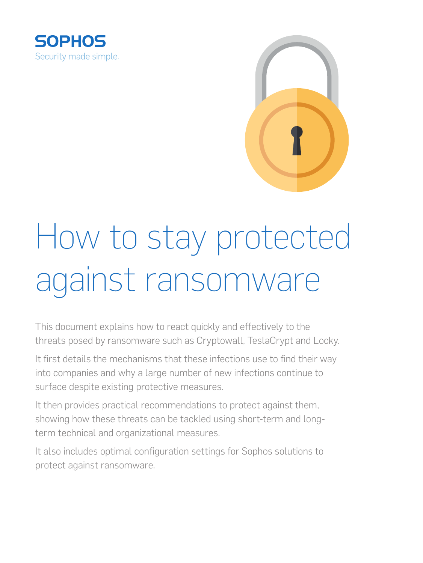



# How to stay protected against ransomware

This document explains how to react quickly and effectively to the threats posed by ransomware such as Cryptowall, TeslaCrypt and Locky.

It first details the mechanisms that these infections use to find their way into companies and why a large number of new infections continue to surface despite existing protective measures.

It then provides practical recommendations to protect against them, showing how these threats can be tackled using short-term and longterm technical and organizational measures.

It also includes optimal configuration settings for Sophos solutions to protect against ransomware.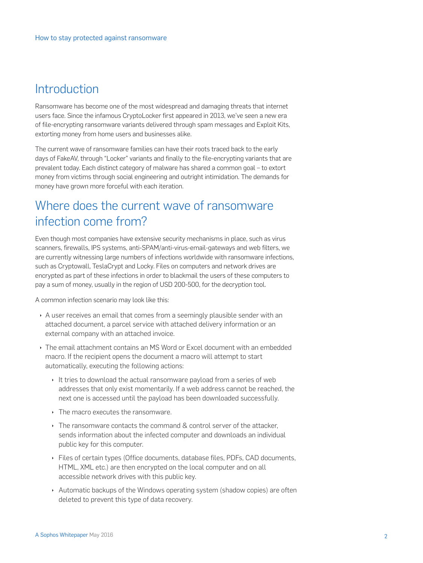## **Introduction**

Ransomware has become one of the most widespread and damaging threats that internet users face. Since the infamous CryptoLocker first appeared in 2013, we've seen a new era of file-encrypting ransomware variants delivered through spam messages and Exploit Kits, extorting money from home users and businesses alike.

The current wave of ransomware families can have their roots traced back to the early days of FakeAV, through "Locker" variants and finally to the file-encrypting variants that are prevalent today. Each distinct category of malware has shared a common goal – to extort money from victims through social engineering and outright intimidation. The demands for money have grown more forceful with each iteration.

# Where does the current wave of ransomware infection come from?

Even though most companies have extensive security mechanisms in place, such as virus scanners, firewalls, IPS systems, anti-SPAM/anti-virus-email-gateways and web filters, we are currently witnessing large numbers of infections worldwide with ransomware infections, such as Cryptowall, TeslaCrypt and Locky. Files on computers and network drives are encrypted as part of these infections in order to blackmail the users of these computers to pay a sum of money, usually in the region of USD 200-500, for the decryption tool.

A common infection scenario may look like this:

- A user receives an email that comes from a seemingly plausible sender with an attached document, a parcel service with attached delivery information or an external company with an attached invoice.
- **I** The email attachment contains an MS Word or Excel document with an embedded macro. If the recipient opens the document a macro will attempt to start automatically, executing the following actions:
	- It tries to download the actual ransomware payload from a series of web addresses that only exist momentarily. If a web address cannot be reached, the next one is accessed until the payload has been downloaded successfully.
	- $\cdot$  The macro executes the ransomware.
	- $\rightarrow$  The ransomware contacts the command & control server of the attacker, sends information about the infected computer and downloads an individual public key for this computer.
	- **Files of certain types (Office documents, database files, PDFs, CAD documents,** HTML, XML etc.) are then encrypted on the local computer and on all accessible network drives with this public key.
	- Automatic backups of the Windows operating system (shadow copies) are often deleted to prevent this type of data recovery.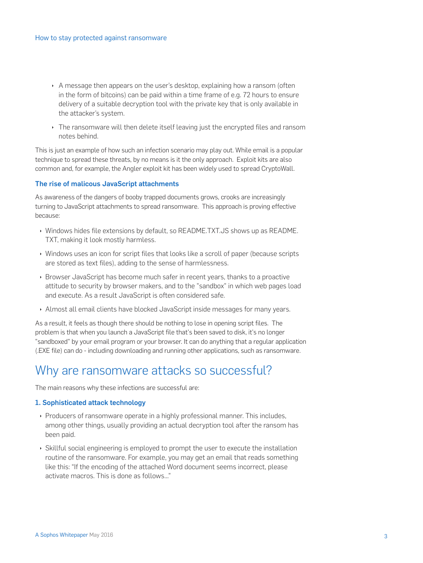- $\rightarrow$  A message then appears on the user's desktop, explaining how a ransom (often in the form of bitcoins) can be paid within a time frame of e.g. 72 hours to ensure delivery of a suitable decryption tool with the private key that is only available in the attacker's system.
- Inter ransomware will then delete itself leaving just the encrypted files and ransom notes behind.

This is just an example of how such an infection scenario may play out. While email is a popular technique to spread these threats, by no means is it the only approach. Exploit kits are also common and, for example, the Angler exploit kit has been widely used to spread CryptoWall.

#### The rise of malicous JavaScript attachments

As awareness of the dangers of booby trapped documents grows, crooks are increasingly turning to JavaScript attachments to spread ransomware. This approach is proving effective because:

- **Nindows hides file extensions by default, so README.TXT.JS shows up as README.** TXT, making it look mostly harmless.
- **Nindows uses an icon for script files that looks like a scroll of paper (because scripts** are stored as text files), adding to the sense of harmlessness.
- **EXECT** Browser JavaScript has become much safer in recent years, thanks to a proactive attitude to security by browser makers, and to the "sandbox" in which web pages load and execute. As a result JavaScript is often considered safe.
- **Almost all email clients have blocked JavaScript inside messages for many years.**

As a result, it feels as though there should be nothing to lose in opening script files. The problem is that when you launch a JavaScript file that's been saved to disk, it's no longer "sandboxed" by your email program or your browser. It can do anything that a regular application (.EXE file) can do - including downloading and running other applications, such as ransomware.

## Why are ransomware attacks so successful?

The main reasons why these infections are successful are:

#### 1. Sophisticated attack technology

- **Producers of ransomware operate in a highly professional manner. This includes,** among other things, usually providing an actual decryption tool after the ransom has been paid.
- **EXEL SKILLFUL Social engineering is employed to prompt the user to execute the installation** routine of the ransomware. For example, you may get an email that reads something like this: "If the encoding of the attached Word document seems incorrect, please activate macros. This is done as follows..."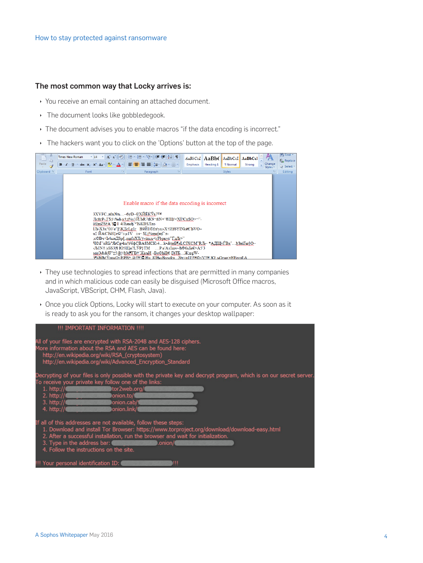#### The most common way that Locky arrives is:

- ▶ You receive an email containing an attached document.
- $\cdot$  The document looks like gobbledegook.
- In The document advises you to enable macros "if the data encoding is incorrect."
- If The hackers want you to click on the 'Options' button at the top of the page.



- **I** They use technologies to spread infections that are permitted in many companies and in which malicious code can easily be disguised (Microsoft Office macros, JavaScript, VBScript, CHM, Flash, Java).
- **Once you click Options, Locky will start to execute on your computer. As soon as it** is ready to ask you for the ransom, it changes your desktop wallpaper:

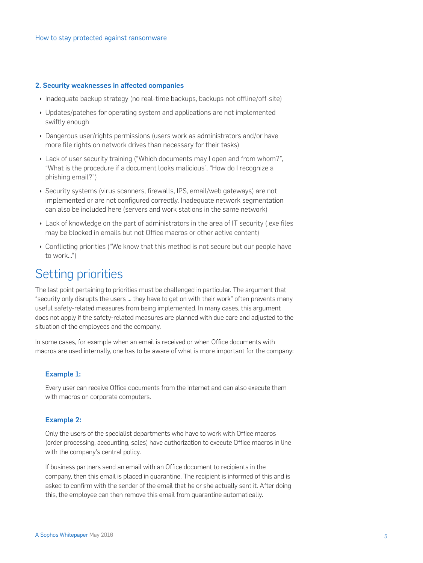#### 2. Security weaknesses in affected companies

- **Inadequate backup strategy (no real-time backups, backups not offline/off-site)**
- **I** Updates/patches for operating system and applications are not implemented swiftly enough
- Dangerous user/rights permissions (users work as administrators and/or have more file rights on network drives than necessary for their tasks)
- **Lack of user security training ("Which documents may I open and from whom?",** "What is the procedure if a document looks malicious", "How do I recognize a phishing email?")
- ▶ Security systems (virus scanners, firewalls, IPS, email/web gateways) are not implemented or are not configured correctly. Inadequate network segmentation can also be included here (servers and work stations in the same network)
- $\cdot$  Lack of knowledge on the part of administrators in the area of IT security (.exe files may be blocked in emails but not Office macros or other active content)
- $\cdot$  Conflicting priorities ("We know that this method is not secure but our people have to work...")

### Setting priorities

The last point pertaining to priorities must be challenged in particular. The argument that "security only disrupts the users ... they have to get on with their work" often prevents many useful safety-related measures from being implemented. In many cases, this argument does not apply if the safety-related measures are planned with due care and adjusted to the situation of the employees and the company.

In some cases, for example when an email is received or when Office documents with macros are used internally, one has to be aware of what is more important for the company:

#### Example 1:

Every user can receive Office documents from the Internet and can also execute them with macros on corporate computers.

#### Example 2:

Only the users of the specialist departments who have to work with Office macros (order processing, accounting, sales) have authorization to execute Office macros in line with the company's central policy.

If business partners send an email with an Office document to recipients in the company, then this email is placed in quarantine. The recipient is informed of this and is asked to confirm with the sender of the email that he or she actually sent it. After doing this, the employee can then remove this email from quarantine automatically.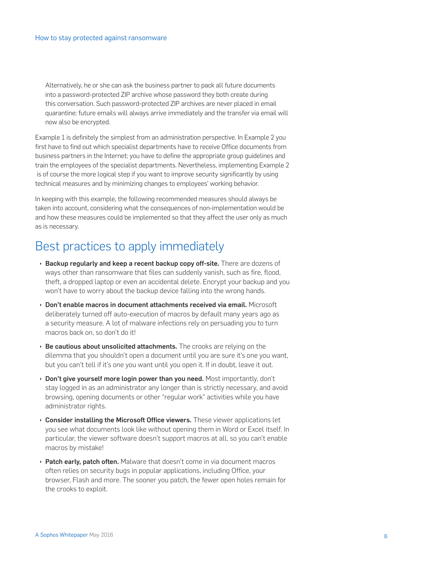Alternatively, he or she can ask the business partner to pack all future documents into a password-protected ZIP archive whose password they both create during this conversation. Such password-protected ZIP archives are never placed in email quarantine; future emails will always arrive immediately and the transfer via email will now also be encrypted.

Example 1 is definitely the simplest from an administration perspective. In Example 2 you first have to find out which specialist departments have to receive Office documents from business partners in the Internet; you have to define the appropriate group guidelines and train the employees of the specialist departments. Nevertheless, implementing Example 2 is of course the more logical step if you want to improve security significantly by using technical measures and by minimizing changes to employees' working behavior.

In keeping with this example, the following recommended measures should always be taken into account, considering what the consequences of non-implementation would be and how these measures could be implemented so that they affect the user only as much as is necessary.

# Best practices to apply immediately

- **Backup regularly and keep a recent backup copy off-site.** There are dozens of ways other than ransomware that files can suddenly vanish, such as fire, flood, theft, a dropped laptop or even an accidental delete. Encrypt your backup and you won't have to worry about the backup device falling into the wrong hands.
- **Don't enable macros in document attachments received via email.** Microsoft deliberately turned off auto-execution of macros by default many years ago as a security measure. A lot of malware infections rely on persuading you to turn macros back on, so don't do it!
- $\rightarrow$  Be cautious about unsolicited attachments. The crooks are relying on the dilemma that you shouldn't open a document until you are sure it's one you want, but you can't tell if it's one you want until you open it. If in doubt, leave it out.
- **Don't give yourself more login power than you need.** Most importantly, don't stay logged in as an administrator any longer than is strictly necessary, and avoid browsing, opening documents or other "regular work" activities while you have administrator rights.
- $\rightarrow$  Consider installing the Microsoft Office viewers. These viewer applications let you see what documents look like without opening them in Word or Excel itself. In particular, the viewer software doesn't support macros at all, so you can't enable macros by mistake!
- $\rightarrow$  Patch early, patch often. Malware that doesn't come in via document macros often relies on security bugs in popular applications, including Office, your browser, Flash and more. The sooner you patch, the fewer open holes remain for the crooks to exploit.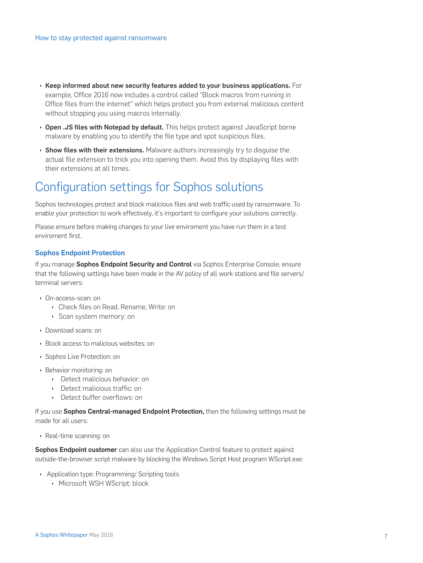- $\rightarrow$  Keep informed about new security features added to your business applications. For example, Office 2016 now includes a control called "Block macros from running in Office files from the internet" which helps protect you from external malicious content without stopping you using macros internally.
- ▶ Open .JS files with Notepad by default. This helps protect against JavaScript borne malware by enabling you to identify the file type and spot suspicious files.
- $\rightarrow$  Show files with their extensions. Malware authors increasingly try to disquise the actual file extension to trick you into opening them. Avoid this by displaying files with their extensions at all times.

# Configuration settings for Sophos solutions

Sophos technologies protect and block malicious files and web traffic used by ransomware. To enable your protection to work effectively, it's important to configure your solutions correctly.

Please ensure before making changes to your live enviroment you have run them in a test enviroment first.

#### Sophos Endpoint Protection

If you manage Sophos Endpoint Security and Control via Sophos Enterprise Console, ensure that the following settings have been made in the AV policy of all work stations and file servers/ terminal servers:

- Ì On-access-scan: on
	- **Check files on Read, Rename, Write: on**
	- ▶ Scan system memory: on
- **Download scans: on**
- **Elock access to malicious websites: on**
- **Sophos Live Protection: on**
- **Behavior monitoring: on** 
	- **Detect malicious behavior: on**
	- **Detect malicious traffic: on**
	- **Detect buffer overflows: on**

If you use Sophos Central-managed Endpoint Protection, then the following settings must be made for all users:

▶ Real-time scanning: on

**Sophos Endpoint customer** can also use the Application Control feature to protect against outside-the-browser script malware by blocking the Windows Script Host program WScript.exe:

- **Application type: Programming/ Scripting tools** 
	- **Microsoft WSH WScript: block**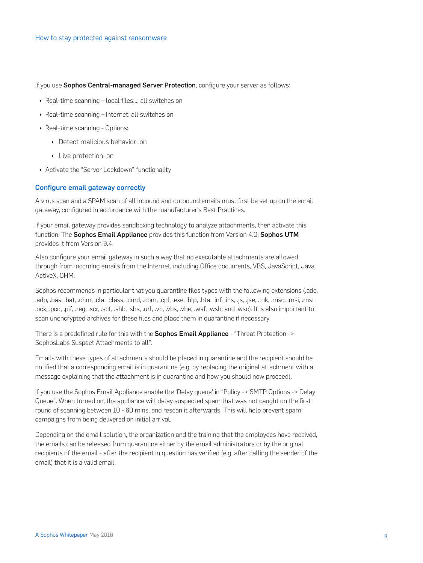If you use Sophos Central-managed Server Protection, configure your server as follows:

- ▶ Real-time scanning local files...: all switches on
- ▶ Real-time scanning Internet: all switches on
- Real-time scanning Options:
	- ▶ Detect malicious behavior: on
	- ▶ Live protection: on
- Activate the "Server Lockdown" functionality

#### **Configure email gateway correctly**

A virus scan and a SPAM scan of all inbound and outbound emails must first be set up on the email gateway, configured in accordance with the manufacturer's Best Practices.

If your email gateway provides sandboxing technology to analyze attachments, then activate this function. The Sophos Email Appliance provides this function from Version 4.0; Sophos UTM provides it from Version 9.4.

Also configure your email gateway in such a way that no executable attachments are allowed through from incoming emails from the Internet, including Office documents, VBS, JavaScript, Java, ActiveX. CHM.

Sophos recommends in particular that you quarantine files types with the following extensions (.ade, .adp, .bas, .bat, .chm, .cla, .class, .cmd, .com, .cpl, .exe, .hlp, .hta, .inf, .ins, .js, .jse, .lnk, .msc, .msi, .mst, .ocx, .pcd, .pif, .req, .scr, .sct, .shb, .shs, .url, .vb, .vbs, .vbe, .wsf, .wsh, and .wsc). It is also important to scan unencrypted archives for these files and place them in quarantine if necessary.

There is a predefined rule for this with the **Sophos Email Appliance** - "Threat Protection -> SophosLabs Suspect Attachments to all".

Emails with these types of attachments should be placed in quarantine and the recipient should be notified that a corresponding email is in quarantine (e.g. by replacing the original attachment with a message explaining that the attachment is in guarantine and how you should now proceed).

If you use the Sophos Email Appliance enable the 'Delay queue' in "Policy -> SMTP Options -> Delay Queue". When turned on, the appliance will delay suspected spam that was not caught on the first round of scanning between 10 - 60 mins, and rescan it afterwards. This will help prevent spam campaigns from being delivered on initial arrival.

Depending on the email solution, the organization and the training that the employees have received, the emails can be released from quarantine either by the email administrators or by the original recipients of the email - after the recipient in question has verified (e.g. after calling the sender of the email) that it is a valid email.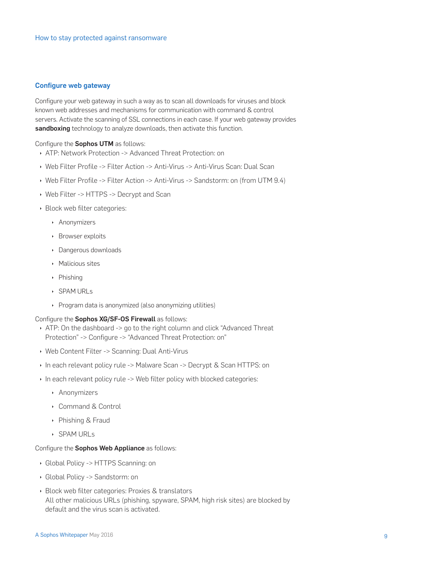#### **Configure web gateway**

Configure your web gateway in such a way as to scan all downloads for viruses and block known web addresses and mechanisms for communication with command & control servers. Activate the scanning of SSL connections in each case. If your web gateway provides sandboxing technology to analyze downloads, then activate this function.

#### Configure the Sophos UTM as follows:

- ATP: Network Protection -> Advanced Threat Protection: on
- ▶ Web Filter Profile -> Filter Action -> Anti-Virus -> Anti-Virus Scan: Dual Scan
- ▶ Web Filter Profile -> Filter Action -> Anti-Virus -> Sandstorm: on (from UTM 9.4)
- ▶ Web Filter -> HTTPS -> Decrypt and Scan
- ▶ Block web filter categories:
	- Anonymizers
	- ▶ Browser exploits
	- Dangerous downloads
	- ▶ Malicious sites
	- Phishing
	- ▶ SPAM URLs
	- ▶ Program data is anonymized (also anonymizing utilities)

#### Configure the Sophos XG/SF-OS Firewall as follows:

- ATP: On the dashboard -> go to the right column and click "Advanced Threat" Protection" -> Configure -> "Advanced Threat Protection: on"
- ▶ Web Content Filter -> Scanning: Dual Anti-Virus
- In each relevant policy rule -> Malware Scan -> Decrypt & Scan HTTPS: on
- In each relevant policy rule -> Web filter policy with blocked categories:
	- Anonymizers
	- $\triangleright$  Command & Control
	- ▶ Phishing & Fraud
	- $\rightarrow$  SPAM LIRI  $\le$

#### Configure the Sophos Web Appliance as follows:

- Global Policy -> HTTPS Scanning: on
- Global Policy -> Sandstorm: on
- ▶ Block web filter categories: Proxies & translators All other malicious URLs (phishing, spyware, SPAM, high risk sites) are blocked by default and the virus scan is activated.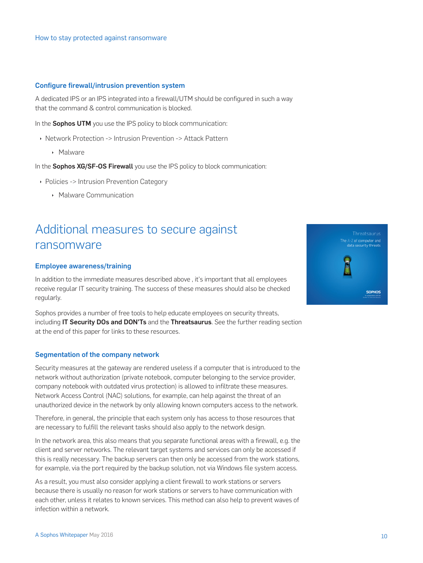#### Configure firewall/intrusion prevention system

A dedicated IPS or an IPS integrated into a firewall/UTM should be configured in such a way that the command & control communication is blocked.

In the Sophos UTM you use the IPS policy to block communication:

- **Network Protection -> Intrusion Prevention -> Attack Pattern** 
	- **Malware**

In the **Sophos XG/SF-OS Firewall** you use the IPS policy to block communication:

- **Policies -> Intrusion Prevention Category** 
	- **Malware Communication**

# Additional measures to secure against ransomware

#### Employee awareness/training

In addition to the immediate measures described above , it's important that all employees receive regular IT security training. The success of these measures should also be checked regularly.

Sophos provides a number of free tools to help educate employees on security threats, including IT Security DOs and DON'Ts and the Threatsaurus. See the further reading section at the end of this paper for links to these resources.

#### Segmentation of the company network

Security measures at the gateway are rendered useless if a computer that is introduced to the network without authorization (private notebook, computer belonging to the service provider, company notebook with outdated virus protection) is allowed to infiltrate these measures. Network Access Control (NAC) solutions, for example, can help against the threat of an unauthorized device in the network by only allowing known computers access to the network.

Therefore, in general, the principle that each system only has access to those resources that are necessary to fulfill the relevant tasks should also apply to the network design.

In the network area, this also means that you separate functional areas with a firewall, e.g. the client and server networks. The relevant target systems and services can only be accessed if this is really necessary. The backup servers can then only be accessed from the work stations, for example, via the port required by the backup solution, not via Windows file system access.

As a result, you must also consider applying a client firewall to work stations or servers because there is usually no reason for work stations or servers to have communication with each other, unless it relates to known services. This method can also help to prevent waves of infection within a network.

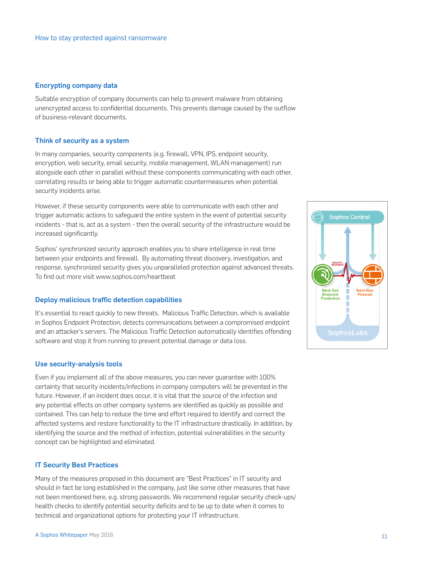#### Encrypting company data

Suitable encryption of company documents can help to prevent malware from obtaining unencrypted access to confidential documents. This prevents damage caused by the outflow of business-relevant documents.

#### Think of security as a system

In many companies, security components (e.g. firewall, VPN, IPS, endpoint security, encryption, web security, email security, mobile management, WLAN management) run alongside each other in parallel without these components communicating with each other, correlating results or being able to trigger automatic countermeasures when potential security incidents arise.

However, if these security components were able to communicate with each other and trigger automatic actions to safeguard the entire system in the event of potential security incidents - that is, act as a system - then the overall security of the infrastructure would be increased significantly.

Sophos' synchronized security approach enables you to share intelligence in real time between your endpoints and firewall. By automating threat discovery, investigation, and response, synchronized security gives you unparalleled protection against advanced threats. To find out more visit www.sophos.com/heartbeat

#### Deploy malicious traffic detection capabilities

It's essential to react quickly to new threats. Malicious Traffic Detection, which is available in Sophos Endpoint Protection, detects communications between a compromised endpoint and an attacker's servers. The Malicious Traffic Detection automatically identifies offending software and stop it from running to prevent potential damage or data loss.

#### Use security-analysis tools

Even if you implement all of the above measures, you can never guarantee with 100% certainty that security incidents/infections in company computers will be prevented in the future. However, if an incident does occur, it is vital that the source of the infection and any potential effects on other company systems are identified as quickly as possible and contained. This can help to reduce the time and effort required to identify and correct the affected systems and restore functionality to the IT infrastructure drastically. In addition, by identifying the source and the method of infection, potential vulnerabilities in the security concept can be highlighted and eliminated.

#### IT Security Best Practices

Many of the measures proposed in this document are "Best Practices" in IT security and should in fact be long established in the company, just like some other measures that have not been mentioned here, e.g. strong passwords. We recommend regular security check-ups/ health checks to identify potential security deficits and to be up to date when it comes to technical and organizational options for protecting your IT infrastructure.